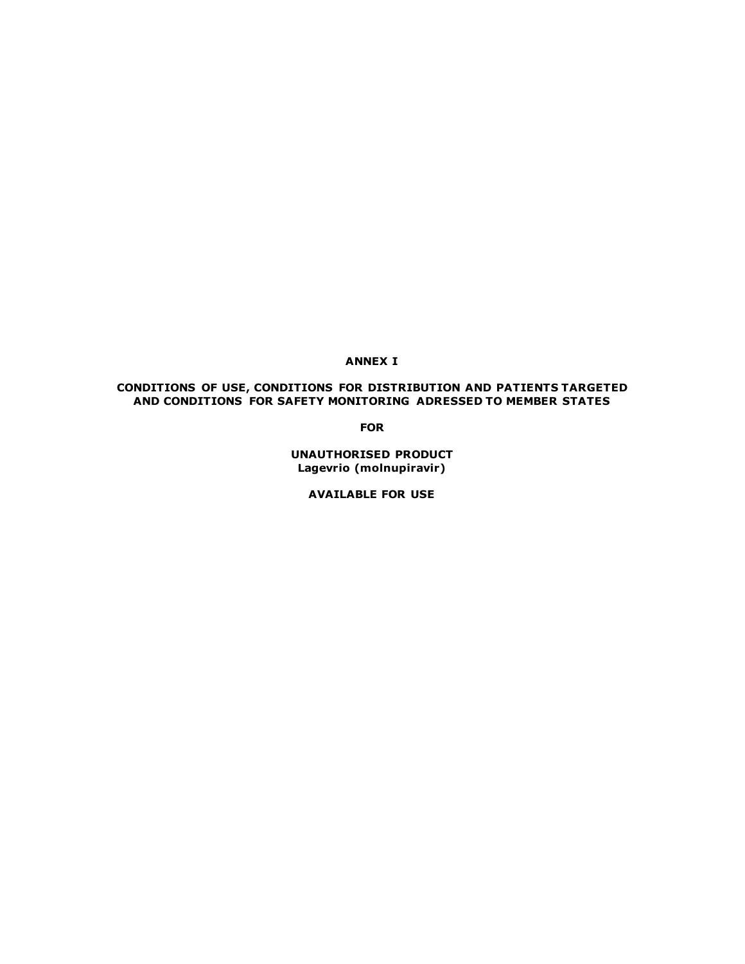# **ANNEX I**

## **CONDITIONS OF USE, CONDITIONS FOR DISTRIBUTION AND PATIENTS TARGETED AND CONDITIONS FOR SAFETY MONITORING ADRESSED TO MEMBER STATES**

**FOR**

**UNAUTHORISED PRODUCT Lagevrio (molnupiravir)**

**AVAILABLE FOR USE**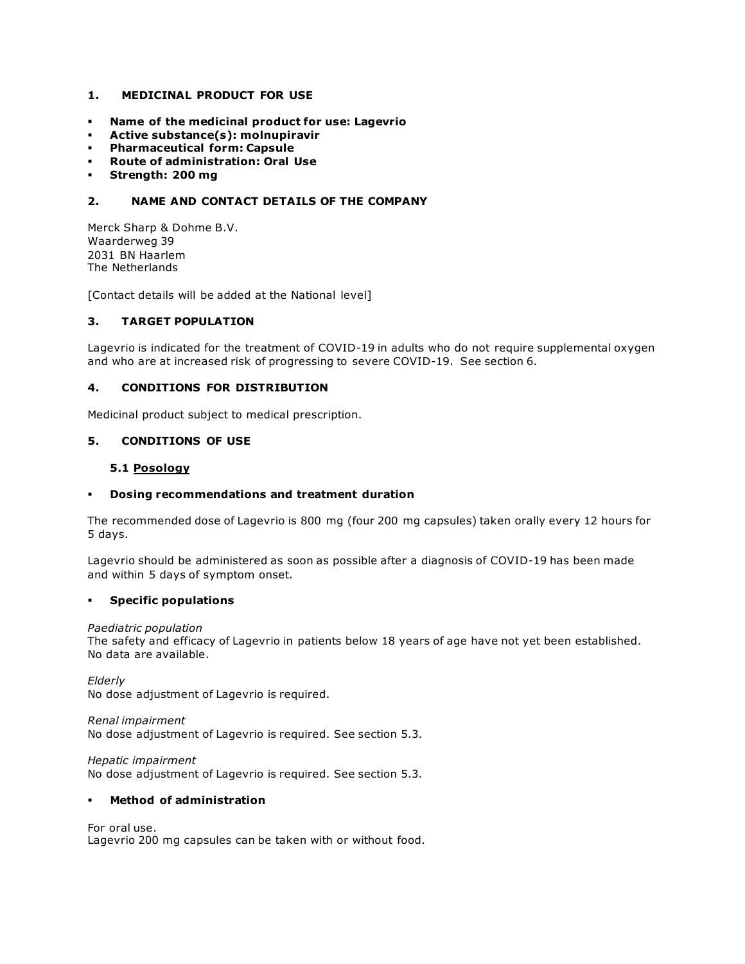## **1. MEDICINAL PRODUCT FOR USE**

- **Name of the medicinal product for use: Lagevrio**
- **Active substance(s): molnupiravir**
- **Pharmaceutical form: Capsule**
- **Route of administration: Oral Use**
- **Strength: 200 mg**

# **2. NAME AND CONTACT DETAILS OF THE COMPANY**

Merck Sharp & Dohme B.V. Waarderweg 39 2031 BN Haarlem The Netherlands

[Contact details will be added at the National level]

### **3. TARGET POPULATION**

Lagevrio is indicated for the treatment of COVID-19 in adults who do not require supplemental oxygen and who are at increased risk of progressing to severe COVID-19. See section 6.

#### **4. CONDITIONS FOR DISTRIBUTION**

Medicinal product subject to medical prescription.

# **5. CONDITIONS OF USE**

### **5.1 Posology**

#### **Dosing recommendations and treatment duration**

The recommended dose of Lagevrio is 800 mg (four 200 mg capsules) taken orally every 12 hours for 5 days.

Lagevrio should be administered as soon as possible after a diagnosis of COVID-19 has been made and within 5 days of symptom onset.

#### **Specific populations**

#### *Paediatric population*

The safety and efficacy of Lagevrio in patients below 18 years of age have not yet been established. No data are available.

*Elderly* No dose adjustment of Lagevrio is required.

*Renal impairment* No dose adjustment of Lagevrio is required. See section 5.3.

*Hepatic impairment* No dose adjustment of Lagevrio is required. See section 5.3.

#### **Method of administration**

For oral use. Lagevrio 200 mg capsules can be taken with or without food.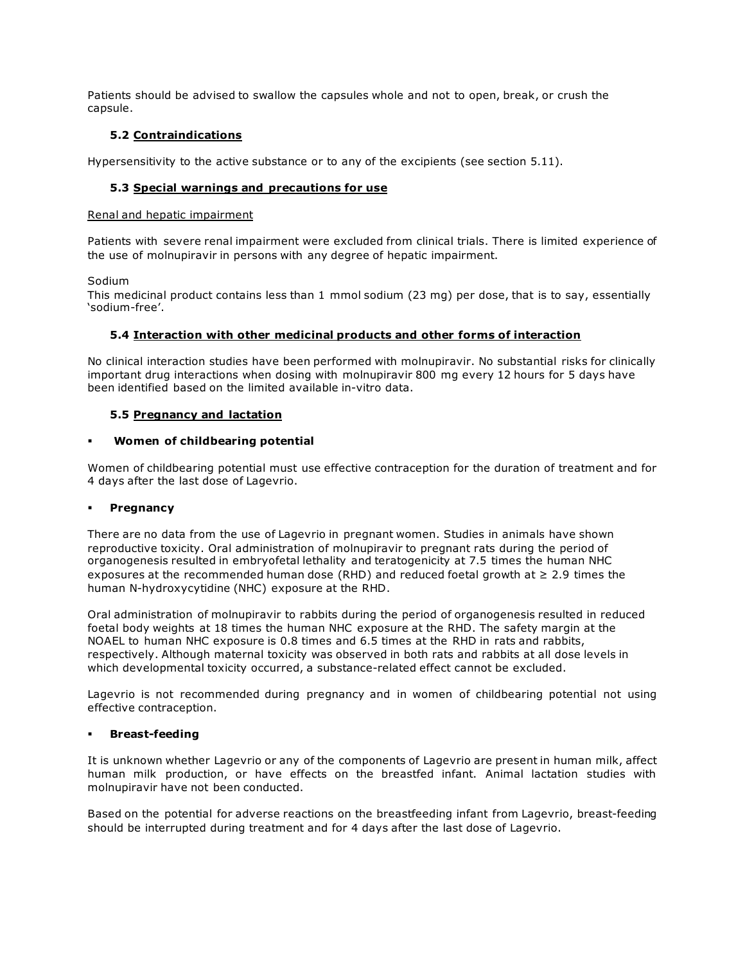Patients should be advised to swallow the capsules whole and not to open, break, or crush the capsule.

## **5.2 Contraindications**

Hypersensitivity to the active substance or to any of the excipients (see section 5.11).

## **5.3 Special warnings and precautions for use**

### Renal and hepatic impairment

Patients with severe renal impairment were excluded from clinical trials. There is limited experience of the use of molnupiravir in persons with any degree of hepatic impairment.

### Sodium

This medicinal product contains less than 1 mmol sodium (23 mg) per dose, that is to say, essentially 'sodium-free'.

## **5.4 Interaction with other medicinal products and other forms of interaction**

No clinical interaction studies have been performed with molnupiravir. No substantial risks for clinically important drug interactions when dosing with molnupiravir 800 mg every 12 hours for 5 days have been identified based on the limited available in-vitro data.

## **5.5 Pregnancy and lactation**

### **Women of childbearing potential**

Women of childbearing potential must use effective contraception for the duration of treatment and for 4 days after the last dose of Lagevrio.

## **Pregnancy**

There are no data from the use of Lagevrio in pregnant women. Studies in animals have shown reproductive toxicity. Oral administration of molnupiravir to pregnant rats during the period of organogenesis resulted in embryofetal lethality and teratogenicity at 7.5 times the human NHC exposures at the recommended human dose (RHD) and reduced foetal growth at  $\geq$  2.9 times the human N-hydroxycytidine (NHC) exposure at the RHD.

Oral administration of molnupiravir to rabbits during the period of organogenesis resulted in reduced foetal body weights at 18 times the human NHC exposure at the RHD. The safety margin at the NOAEL to human NHC exposure is 0.8 times and 6.5 times at the RHD in rats and rabbits, respectively. Although maternal toxicity was observed in both rats and rabbits at all dose levels in which developmental toxicity occurred, a substance-related effect cannot be excluded.

Lagevrio is not recommended during pregnancy and in women of childbearing potential not using effective contraception.

## **Breast-feeding**

It is unknown whether Lagevrio or any of the components of Lagevrio are present in human milk, affect human milk production, or have effects on the breastfed infant. Animal lactation studies with molnupiravir have not been conducted.

Based on the potential for adverse reactions on the breastfeeding infant from Lagevrio, breast-feeding should be interrupted during treatment and for 4 days after the last dose of Lagevrio.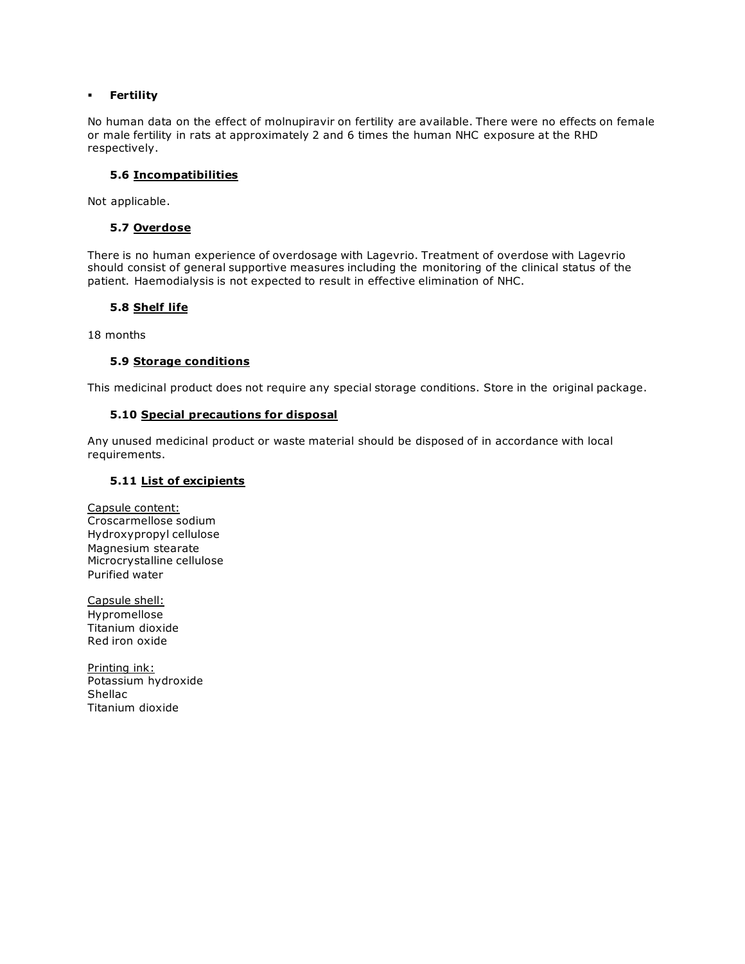### **Fertility**

No human data on the effect of molnupiravir on fertility are available. There were no effects on female or male fertility in rats at approximately 2 and 6 times the human NHC exposure at the RHD respectively.

### **5.6 Incompatibilities**

Not applicable.

### **5.7 Overdose**

There is no human experience of overdosage with Lagevrio. Treatment of overdose with Lagevrio should consist of general supportive measures including the monitoring of the clinical status of the patient. Haemodialysis is not expected to result in effective elimination of NHC.

## **5.8 Shelf life**

18 months

### **5.9 Storage conditions**

This medicinal product does not require any special storage conditions. Store in the original package.

### **5.10 Special precautions for disposal**

Any unused medicinal product or waste material should be disposed of in accordance with local requirements.

### **5.11 List of excipients**

Capsule content: Croscarmellose sodium Hydroxypropyl cellulose Magnesium stearate Microcrystalline cellulose Purified water

Capsule shell: Hypromellose Titanium dioxide Red iron oxide

Printing ink: Potassium hydroxide Shellac Titanium dioxide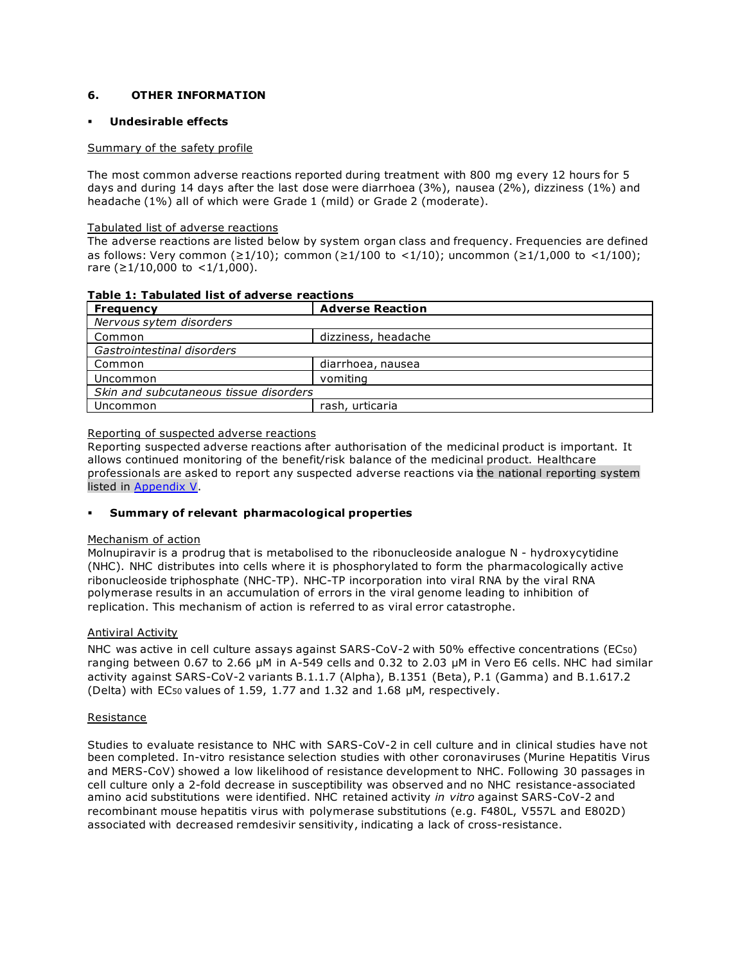## **6. OTHER INFORMATION**

### **Undesirable effects**

### Summary of the safety profile

The most common adverse reactions reported during treatment with 800 mg every 12 hours for 5 days and during 14 days after the last dose were diarrhoea (3%), nausea (2%), dizziness (1%) and headache (1%) all of which were Grade 1 (mild) or Grade 2 (moderate).

### Tabulated list of adverse reactions

The adverse reactions are listed below by system organ class and frequency. Frequencies are defined as follows: Very common (≥1/10); common (≥1/100 to <1/10); uncommon (≥1/1,000 to <1/100); rare (≥1/10,000 to <1/1,000).

| 1 avic 1. Tavulatcu 113t vi auvci 3c Tcactiviis |                         |  |  |  |
|-------------------------------------------------|-------------------------|--|--|--|
| Frequency                                       | <b>Adverse Reaction</b> |  |  |  |
| Nervous sytem disorders                         |                         |  |  |  |
| Common                                          | dizziness, headache     |  |  |  |
| Gastrointestinal disorders                      |                         |  |  |  |
| Common                                          | diarrhoea, nausea       |  |  |  |
| Uncommon                                        | vomiting                |  |  |  |
| Skin and subcutaneous tissue disorders          |                         |  |  |  |
| Uncommon                                        | rash, urticaria         |  |  |  |
|                                                 |                         |  |  |  |

## **Table 1: Tabulated list of adverse reactions**

### Reporting of suspected adverse reactions

Reporting suspected adverse reactions after authorisation of the medicinal product is important. It allows continued monitoring of the benefit/risk balance of the medicinal product. Healthcare professionals are asked to report any suspected adverse reactions via the national reporting system listed in [Appendix V.](http://www.ema.europa.eu/docs/en_GB/document_library/Template_or_form/2013/03/WC500139752.doc)

## **Summary of relevant pharmacological properties**

#### Mechanism of action

Molnupiravir is a prodrug that is metabolised to the ribonucleoside analogue N - hydroxycytidine (NHC). NHC distributes into cells where it is phosphorylated to form the pharmacologically active ribonucleoside triphosphate (NHC-TP). NHC-TP incorporation into viral RNA by the viral RNA polymerase results in an accumulation of errors in the viral genome leading to inhibition of replication. This mechanism of action is referred to as viral error catastrophe.

### Antiviral Activity

NHC was active in cell culture assays against SARS-CoV-2 with 50% effective concentrations (EC50) ranging between 0.67 to 2.66 µM in A-549 cells and 0.32 to 2.03 µM in Vero E6 cells. NHC had similar activity against SARS-CoV-2 variants B.1.1.7 (Alpha), B.1351 (Beta), P.1 (Gamma) and B.1.617.2 (Delta) with EC50 values of 1.59, 1.77 and 1.32 and 1.68 µM, respectively.

#### Resistance

Studies to evaluate resistance to NHC with SARS-CoV-2 in cell culture and in clinical studies have not been completed. In-vitro resistance selection studies with other coronaviruses (Murine Hepatitis Virus and MERS-CoV) showed a low likelihood of resistance development to NHC. Following 30 passages in cell culture only a 2-fold decrease in susceptibility was observed and no NHC resistance-associated amino acid substitutions were identified. NHC retained activity *in vitro* against SARS-CoV-2 and recombinant mouse hepatitis virus with polymerase substitutions (e.g. F480L, V557L and E802D) associated with decreased remdesivir sensitivity, indicating a lack of cross-resistance.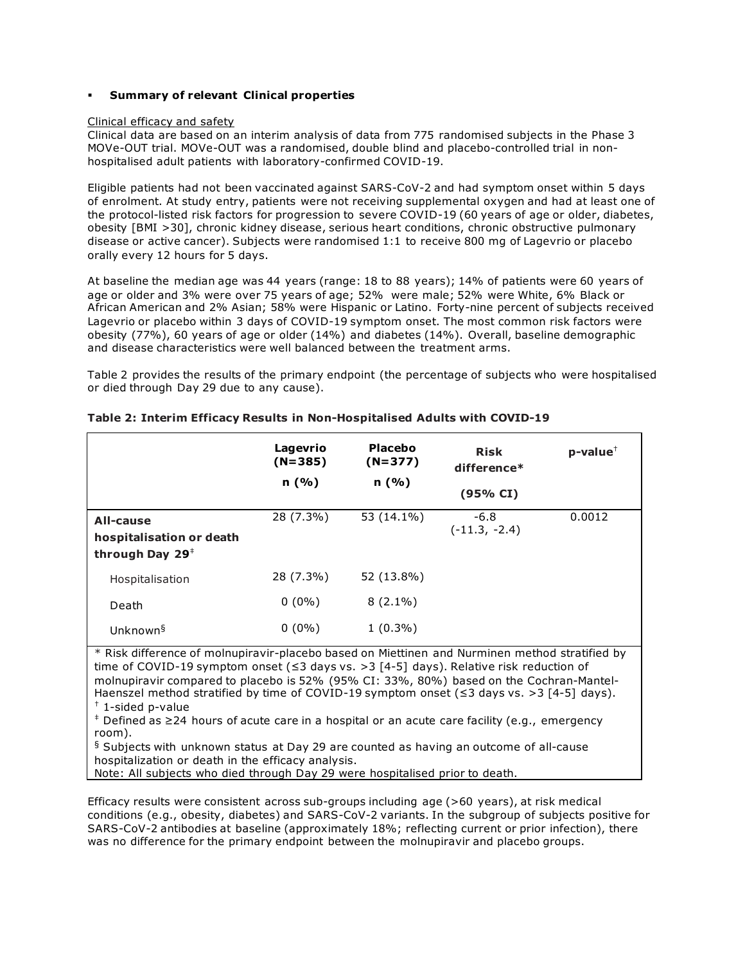#### **Summary of relevant Clinical properties**

#### Clinical efficacy and safety

Clinical data are based on an interim analysis of data from 775 randomised subjects in the Phase 3 MOVe-OUT trial. MOVe-OUT was a randomised, double blind and placebo-controlled trial in nonhospitalised adult patients with laboratory-confirmed COVID-19.

Eligible patients had not been vaccinated against SARS-CoV-2 and had symptom onset within 5 days of enrolment. At study entry, patients were not receiving supplemental oxygen and had at least one of the protocol-listed risk factors for progression to severe COVID-19 (60 years of age or older, diabetes, obesity [BMI >30], chronic kidney disease, serious heart conditions, chronic obstructive pulmonary disease or active cancer). Subjects were randomised 1:1 to receive 800 mg of Lagevrio or placebo orally every 12 hours for 5 days.

At baseline the median age was 44 years (range: 18 to 88 years); 14% of patients were 60 years of age or older and 3% were over 75 years of age; 52% were male; 52% were White, 6% Black or African American and 2% Asian; 58% were Hispanic or Latino. Forty-nine percent of subjects received Lagevrio or placebo within 3 days of COVID-19 symptom onset. The most common risk factors were obesity (77%), 60 years of age or older (14%) and diabetes (14%). Overall, baseline demographic and disease characteristics were well balanced between the treatment arms.

Table 2 provides the results of the primary endpoint (the percentage of subjects who were hospitalised or died through Day 29 due to any cause).

|                                                                      | Lagevrio<br>$(N=385)$<br>n(%) | <b>Placebo</b><br>$(N=377)$<br>n(%) | <b>Risk</b><br>difference*<br>(95% CI) | $p$ -value <sup><math>\dagger</math></sup> |
|----------------------------------------------------------------------|-------------------------------|-------------------------------------|----------------------------------------|--------------------------------------------|
| All-cause<br>hospitalisation or death<br>through Day $29^{\ddagger}$ | 28 (7.3%)                     | 53 (14.1%)                          | $-6.8$<br>$(-11.3, -2.4)$              | 0.0012                                     |
| Hospitalisation                                                      | 28 (7.3%)                     | 52 (13.8%)                          |                                        |                                            |
| Death                                                                | $0(0\%)$                      | $8(2.1\%)$                          |                                        |                                            |
| Unknown <sup>§</sup>                                                 | $0(0\%)$                      | $1(0.3\%)$                          |                                        |                                            |

### **Table 2: Interim Efficacy Results in Non-Hospitalised Adults with COVID-19**

\* Risk difference of molnupiravir-placebo based on Miettinen and Nurminen method stratified by time of COVID-19 symptom onset (≤3 days vs. >3 [4-5] days). Relative risk reduction of molnupiravir compared to placebo is 52% (95% CI: 33%, 80%) based on the Cochran-Mantel-Haenszel method stratified by time of COVID-19 symptom onset ( $\leq$ 3 days vs. >3 [4-5] days).

 $\frac{+}{+}$  1-sided p-value

Defined as ≥24 hours of acute care in a hospital or an acute care facility (e.g., emergency room).

 $\frac{6}{3}$  Subjects with unknown status at Day 29 are counted as having an outcome of all-cause hospitalization or death in the efficacy analysis.

Note: All subjects who died through Day 29 were hospitalised prior to death.

Efficacy results were consistent across sub-groups including age (>60 years), at risk medical conditions (e.g., obesity, diabetes) and SARS-CoV-2 variants. In the subgroup of subjects positive for SARS-CoV-2 antibodies at baseline (approximately 18%; reflecting current or prior infection), there was no difference for the primary endpoint between the molnupiravir and placebo groups.